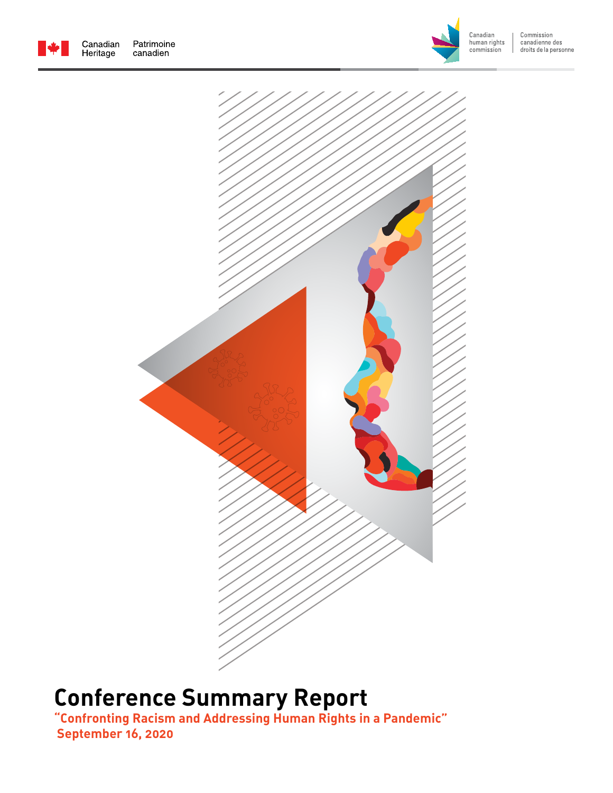





# **Conference Summary Report**

**"Confronting Racism and Addressing Human Rights in a Pandemic" September 16, 2020**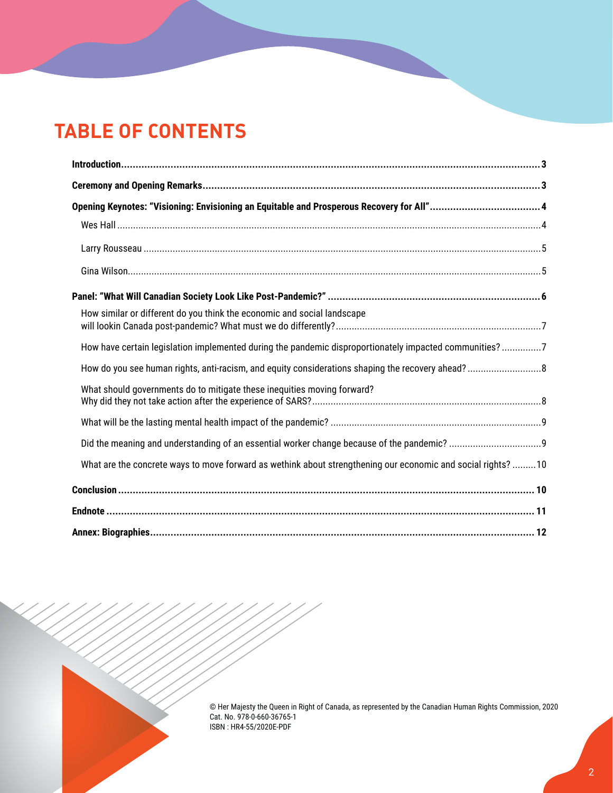# **TABLE OF CONTENTS**

| How similar or different do you think the economic and social landscape                                      |
|--------------------------------------------------------------------------------------------------------------|
| How have certain legislation implemented during the pandemic disproportionately impacted communities? 7      |
|                                                                                                              |
| What should governments do to mitigate these inequities moving forward?                                      |
|                                                                                                              |
|                                                                                                              |
| What are the concrete ways to move forward as wethink about strengthening our economic and social rights? 10 |
|                                                                                                              |
|                                                                                                              |
|                                                                                                              |

© Her Majesty the Queen in Right of Canada, as represented by the Canadian Human Rights Commission, 2020 Cat. No. 978-0-660-36765-1 ISBN : HR4-55/2020E-PDF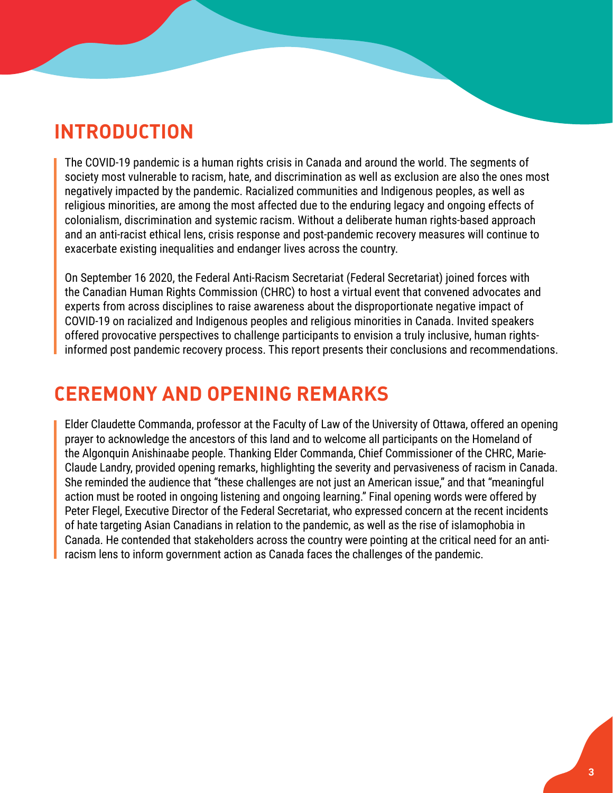## <span id="page-2-0"></span>**INTRODUCTION**

The COVID-19 pandemic is a human rights crisis in Canada and around the world. The segments of society most vulnerable to racism, hate, and discrimination as well as exclusion are also the ones most negatively impacted by the pandemic. Racialized communities and Indigenous peoples, as well as religious minorities, are among the most affected due to the enduring legacy and ongoing effects of colonialism, discrimination and systemic racism. Without a deliberate human rights-based approach and an anti-racist ethical lens, crisis response and post-pandemic recovery measures will continue to exacerbate existing inequalities and endanger lives across the country.

On September 16 2020, the Federal Anti-Racism Secretariat (Federal Secretariat) joined forces with the Canadian Human Rights Commission (CHRC) to host a virtual event that convened advocates and experts from across disciplines to raise awareness about the disproportionate negative impact of COVID-19 on racialized and Indigenous peoples and religious minorities in Canada. Invited speakers offered provocative perspectives to challenge participants to envision a truly inclusive, human rightsinformed post pandemic recovery process. This report presents their conclusions and recommendations.

## **CEREMONY AND OPENING REMARKS**

Elder Claudette Commanda, professor at the Faculty of Law of the University of Ottawa, offered an opening prayer to acknowledge the ancestors of this land and to welcome all participants on the Homeland of the Algonquin Anishinaabe people. Thanking Elder Commanda, Chief Commissioner of the CHRC, Marie-Claude Landry, provided opening remarks, highlighting the severity and pervasiveness of racism in Canada. She reminded the audience that "these challenges are not just an American issue," and that "meaningful action must be rooted in ongoing listening and ongoing learning." Final opening words were offered by Peter Flegel, Executive Director of the Federal Secretariat, who expressed concern at the recent incidents of hate targeting Asian Canadians in relation to the pandemic, as well as the rise of islamophobia in Canada. He contended that stakeholders across the country were pointing at the critical need for an antiracism lens to inform government action as Canada faces the challenges of the pandemic.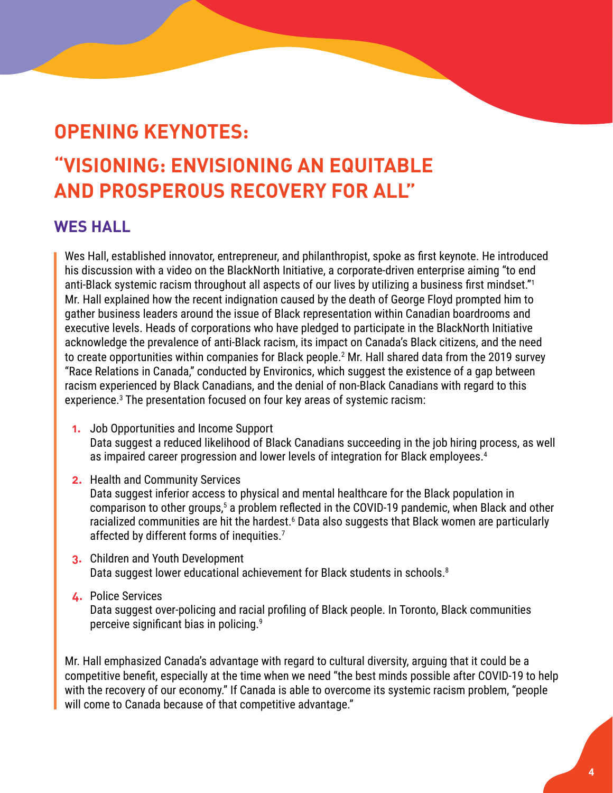## <span id="page-3-0"></span>**OPENING KEYNOTES:**

## **"VISIONING: ENVISIONING AN EQUITABLE AND PROSPEROUS RECOVERY FOR ALL"**

#### **WES HALL**

Wes Hall, established innovator, entrepreneur, and philanthropist, spoke as first keynote. He introduced his discussion with a video on the BlackNorth Initiative, a corporate-driven enterprise aiming "to end anti-Black systemic racism throughout all aspects of our lives by utilizing a business first mindset."<sup>1</sup> Mr. Hall explained how the recent indignation caused by the death of George Floyd prompted him to gather business leaders around the issue of Black representation within Canadian boardrooms and executive levels. Heads of corporations who have pledged to participate in the BlackNorth Initiative acknowledge the prevalence of anti-Black racism, its impact on Canada's Black citizens, and the need to create opportunities within companies for Black people.2 Mr. Hall shared data from the 2019 survey "Race Relations in Canada," conducted by Environics, which suggest the existence of a gap between racism experienced by Black Canadians, and the denial of non-Black Canadians with regard to this experience.<sup>3</sup> The presentation focused on four key areas of systemic racism:

- **1.** Job Opportunities and Income Support Data suggest a reduced likelihood of Black Canadians succeeding in the job hiring process, as well as impaired career progression and lower levels of integration for Black employees.<sup>4</sup>
- **2.** Health and Community Services Data suggest inferior access to physical and mental healthcare for the Black population in comparison to other groups,<sup>5</sup> a problem reflected in the COVID-19 pandemic, when Black and other racialized communities are hit the hardest. $^6$  Data also suggests that Black women are particularly affected by different forms of inequities.<sup>7</sup>
- **3.** Children and Youth Development Data suggest lower educational achievement for Black students in schools.<sup>8</sup>
- **4.** Police Services

Data suggest over-policing and racial profiling of Black people. In Toronto, Black communities perceive significant bias in policing.<sup>9</sup>

Mr. Hall emphasized Canada's advantage with regard to cultural diversity, arguing that it could be a competitive benefit, especially at the time when we need "the best minds possible after COVID-19 to help with the recovery of our economy." If Canada is able to overcome its systemic racism problem, "people will come to Canada because of that competitive advantage."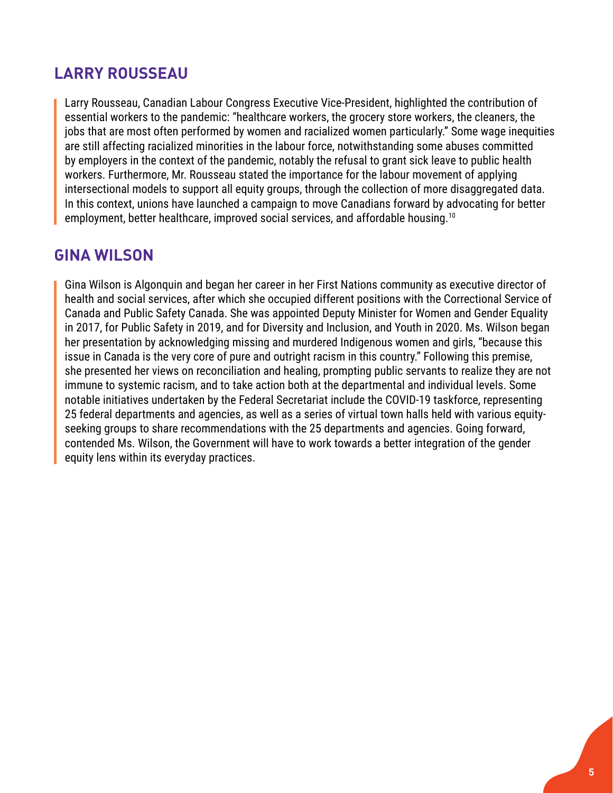#### <span id="page-4-0"></span>**LARRY ROUSSEAU**

Larry Rousseau, Canadian Labour Congress Executive Vice-President, highlighted the contribution of essential workers to the pandemic: "healthcare workers, the grocery store workers, the cleaners, the jobs that are most often performed by women and racialized women particularly." Some wage inequities are still affecting racialized minorities in the labour force, notwithstanding some abuses committed by employers in the context of the pandemic, notably the refusal to grant sick leave to public health workers. Furthermore, Mr. Rousseau stated the importance for the labour movement of applying intersectional models to support all equity groups, through the collection of more disaggregated data. In this context, unions have launched a campaign to move Canadians forward by advocating for better employment, better healthcare, improved social services, and affordable housing.10

#### **GINA WILSON**

Gina Wilson is Algonquin and began her career in her First Nations community as executive director of health and social services, after which she occupied different positions with the Correctional Service of Canada and Public Safety Canada. She was appointed Deputy Minister for Women and Gender Equality in 2017, for Public Safety in 2019, and for Diversity and Inclusion, and Youth in 2020. Ms. Wilson began her presentation by acknowledging missing and murdered Indigenous women and girls, "because this issue in Canada is the very core of pure and outright racism in this country." Following this premise, she presented her views on reconciliation and healing, prompting public servants to realize they are not immune to systemic racism, and to take action both at the departmental and individual levels. Some notable initiatives undertaken by the Federal Secretariat include the COVID-19 taskforce, representing 25 federal departments and agencies, as well as a series of virtual town halls held with various equityseeking groups to share recommendations with the 25 departments and agencies. Going forward, contended Ms. Wilson, the Government will have to work towards a better integration of the gender equity lens within its everyday practices.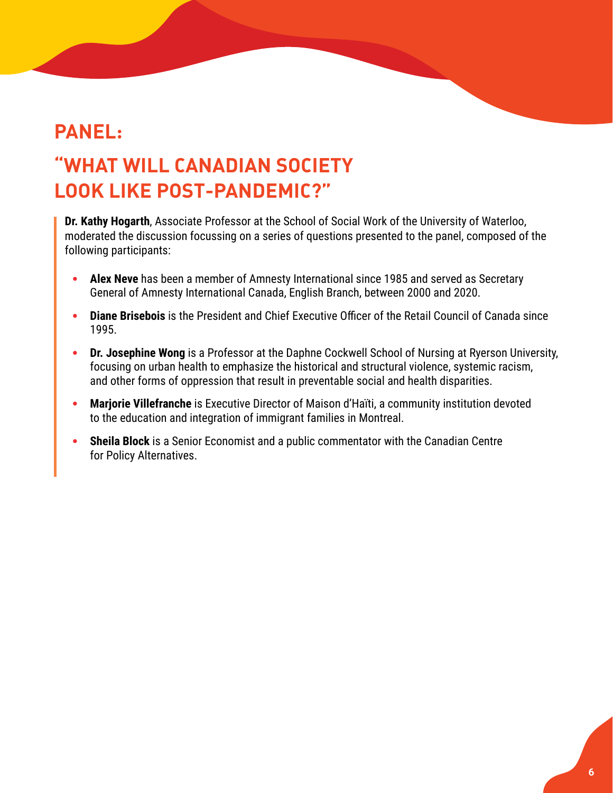## <span id="page-5-0"></span>**PANEL:**

## **"WHAT WILL CANADIAN SOCIETY LOOK LIKE POST-PANDEMIC?"**

**Dr. Kathy Hogarth**, Associate Professor at the School of Social Work of the University of Waterloo, moderated the discussion focussing on a series of questions presented to the panel, composed of the following participants:

- **• Alex Neve** has been a member of Amnesty International since 1985 and served as Secretary General of Amnesty International Canada, English Branch, between 2000 and 2020.
- **• Diane Brisebois** is the President and Chief Executive Officer of the Retail Council of Canada since 1995.
- **• Dr. Josephine Wong** is a Professor at the Daphne Cockwell School of Nursing at Ryerson University, focusing on urban health to emphasize the historical and structural violence, systemic racism, and other forms of oppression that result in preventable social and health disparities.
- **• Marjorie Villefranche** is Executive Director of Maison d'Haïti, a community institution devoted to the education and integration of immigrant families in Montreal.
- **• Sheila Block** is a Senior Economist and a public commentator with the Canadian Centre for Policy Alternatives.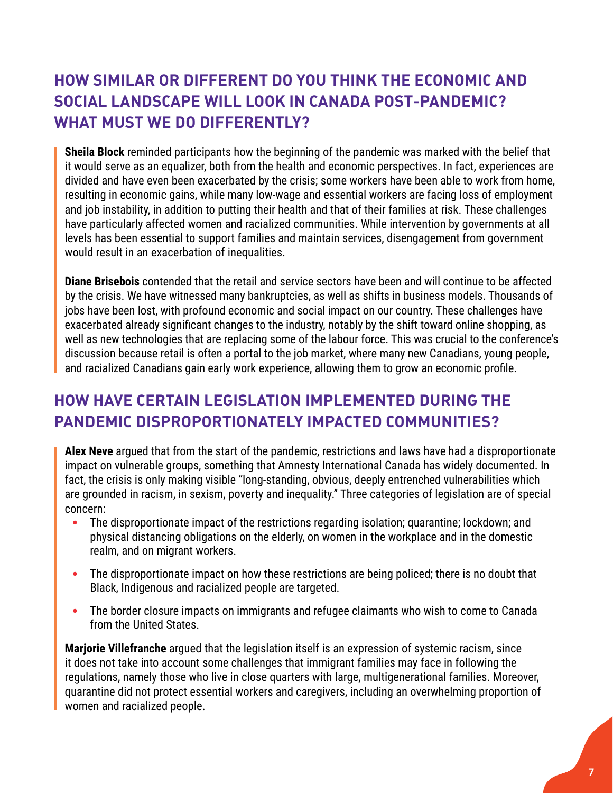## <span id="page-6-0"></span>**HOW SIMILAR OR DIFFERENT DO YOU THINK THE ECONOMIC AND SOCIAL LANDSCAPE WILL LOOK IN CANADA POST-PANDEMIC? WHAT MUST WE DO DIFFERENTLY?**

**Sheila Block** reminded participants how the beginning of the pandemic was marked with the belief that it would serve as an equalizer, both from the health and economic perspectives. In fact, experiences are divided and have even been exacerbated by the crisis; some workers have been able to work from home, resulting in economic gains, while many low-wage and essential workers are facing loss of employment and job instability, in addition to putting their health and that of their families at risk. These challenges have particularly affected women and racialized communities. While intervention by governments at all levels has been essential to support families and maintain services, disengagement from government would result in an exacerbation of inequalities.

**Diane Brisebois** contended that the retail and service sectors have been and will continue to be affected by the crisis. We have witnessed many bankruptcies, as well as shifts in business models. Thousands of jobs have been lost, with profound economic and social impact on our country. These challenges have exacerbated already significant changes to the industry, notably by the shift toward online shopping, as well as new technologies that are replacing some of the labour force. This was crucial to the conference's discussion because retail is often a portal to the job market, where many new Canadians, young people, and racialized Canadians gain early work experience, allowing them to grow an economic profile.

## **HOW HAVE CERTAIN LEGISLATION IMPLEMENTED DURING THE PANDEMIC DISPROPORTIONATELY IMPACTED COMMUNITIES?**

**Alex Neve** argued that from the start of the pandemic, restrictions and laws have had a disproportionate impact on vulnerable groups, something that Amnesty International Canada has widely documented. In fact, the crisis is only making visible "long-standing, obvious, deeply entrenched vulnerabilities which are grounded in racism, in sexism, poverty and inequality." Three categories of legislation are of special concern:

- **•** The disproportionate impact of the restrictions regarding isolation; quarantine; lockdown; and physical distancing obligations on the elderly, on women in the workplace and in the domestic realm, and on migrant workers.
- **•** The disproportionate impact on how these restrictions are being policed; there is no doubt that Black, Indigenous and racialized people are targeted.
- **•** The border closure impacts on immigrants and refugee claimants who wish to come to Canada from the United States.

**Marjorie Villefranche** argued that the legislation itself is an expression of systemic racism, since it does not take into account some challenges that immigrant families may face in following the regulations, namely those who live in close quarters with large, multigenerational families. Moreover, quarantine did not protect essential workers and caregivers, including an overwhelming proportion of women and racialized people.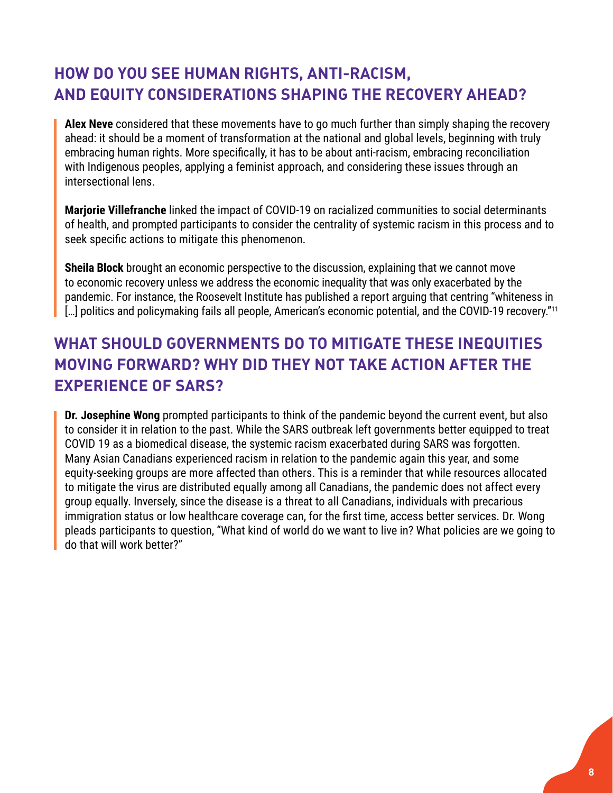#### <span id="page-7-0"></span>**HOW DO YOU SEE HUMAN RIGHTS, ANTI-RACISM, AND EQUITY CONSIDERATIONS SHAPING THE RECOVERY AHEAD?**

**Alex Neve** considered that these movements have to go much further than simply shaping the recovery ahead: it should be a moment of transformation at the national and global levels, beginning with truly embracing human rights. More specifically, it has to be about anti-racism, embracing reconciliation with Indigenous peoples, applying a feminist approach, and considering these issues through an intersectional lens.

**Marjorie Villefranche** linked the impact of COVID-19 on racialized communities to social determinants of health, and prompted participants to consider the centrality of systemic racism in this process and to seek specific actions to mitigate this phenomenon.

**Sheila Block** brought an economic perspective to the discussion, explaining that we cannot move to economic recovery unless we address the economic inequality that was only exacerbated by the pandemic. For instance, the Roosevelt Institute has published a report arguing that centring "whiteness in [...] politics and policymaking fails all people, American's economic potential, and the COVID-19 recovery."<sup>11</sup>

## **WHAT SHOULD GOVERNMENTS DO TO MITIGATE THESE INEQUITIES MOVING FORWARD? WHY DID THEY NOT TAKE ACTION AFTER THE EXPERIENCE OF SARS?**

**Dr. Josephine Wong** prompted participants to think of the pandemic beyond the current event, but also to consider it in relation to the past. While the SARS outbreak left governments better equipped to treat COVID 19 as a biomedical disease, the systemic racism exacerbated during SARS was forgotten. Many Asian Canadians experienced racism in relation to the pandemic again this year, and some equity-seeking groups are more affected than others. This is a reminder that while resources allocated to mitigate the virus are distributed equally among all Canadians, the pandemic does not affect every group equally. Inversely, since the disease is a threat to all Canadians, individuals with precarious immigration status or low healthcare coverage can, for the first time, access better services. Dr. Wong pleads participants to question, "What kind of world do we want to live in? What policies are we going to do that will work better?"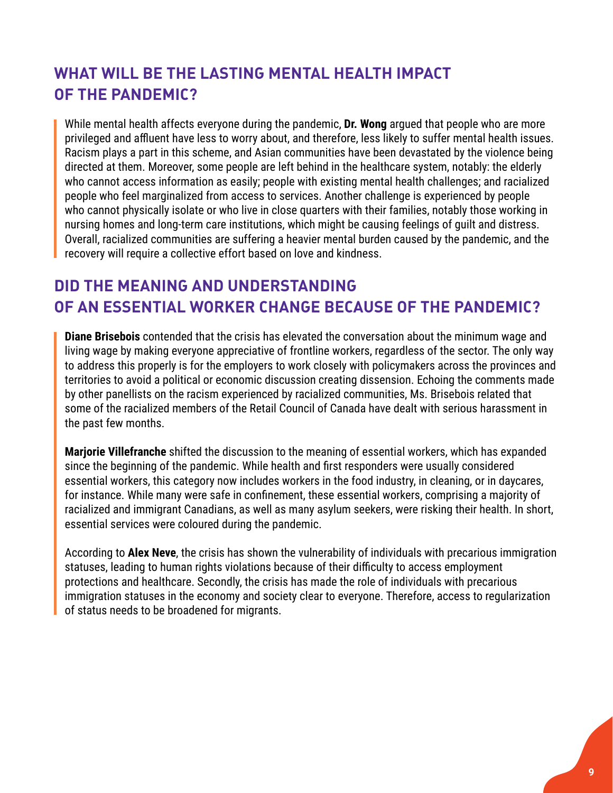## <span id="page-8-0"></span>**WHAT WILL BE THE LASTING MENTAL HEALTH IMPACT OF THE PANDEMIC?**

While mental health affects everyone during the pandemic, **Dr. Wong** argued that people who are more privileged and affluent have less to worry about, and therefore, less likely to suffer mental health issues. Racism plays a part in this scheme, and Asian communities have been devastated by the violence being directed at them. Moreover, some people are left behind in the healthcare system, notably: the elderly who cannot access information as easily; people with existing mental health challenges; and racialized people who feel marginalized from access to services. Another challenge is experienced by people who cannot physically isolate or who live in close quarters with their families, notably those working in nursing homes and long-term care institutions, which might be causing feelings of guilt and distress. Overall, racialized communities are suffering a heavier mental burden caused by the pandemic, and the recovery will require a collective effort based on love and kindness.

## **DID THE MEANING AND UNDERSTANDING OF AN ESSENTIAL WORKER CHANGE BECAUSE OF THE PANDEMIC?**

**Diane Brisebois** contended that the crisis has elevated the conversation about the minimum wage and living wage by making everyone appreciative of frontline workers, regardless of the sector. The only way to address this properly is for the employers to work closely with policymakers across the provinces and territories to avoid a political or economic discussion creating dissension. Echoing the comments made by other panellists on the racism experienced by racialized communities, Ms. Brisebois related that some of the racialized members of the Retail Council of Canada have dealt with serious harassment in the past few months.

**Marjorie Villefranche** shifted the discussion to the meaning of essential workers, which has expanded since the beginning of the pandemic. While health and first responders were usually considered essential workers, this category now includes workers in the food industry, in cleaning, or in daycares, for instance. While many were safe in confinement, these essential workers, comprising a majority of racialized and immigrant Canadians, as well as many asylum seekers, were risking their health. In short, essential services were coloured during the pandemic.

According to **Alex Neve**, the crisis has shown the vulnerability of individuals with precarious immigration statuses, leading to human rights violations because of their difficulty to access employment protections and healthcare. Secondly, the crisis has made the role of individuals with precarious immigration statuses in the economy and society clear to everyone. Therefore, access to regularization of status needs to be broadened for migrants.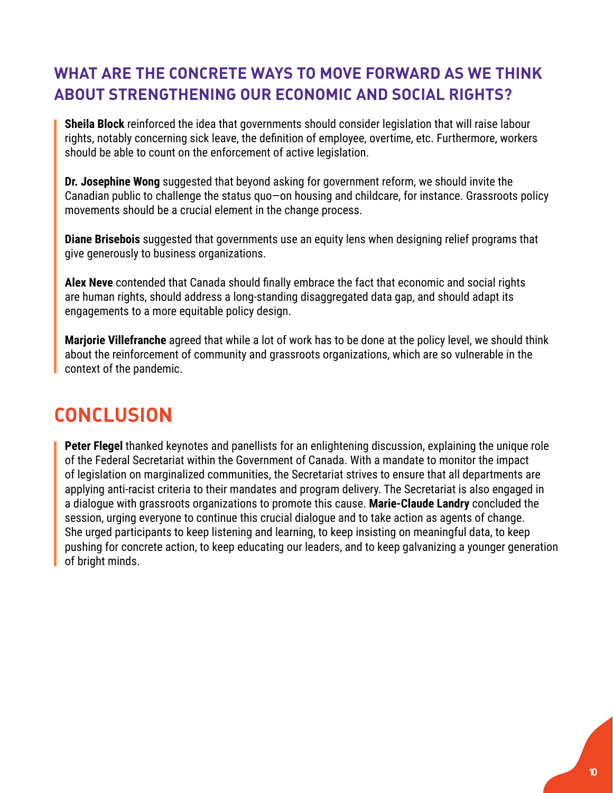## <span id="page-9-0"></span>**WHAT ARE THE CONCRETE WAYS TO MOVE FORWARD AS WE THINK ABOUT STRENGTHENING OUR ECONOMIC AND SOCIAL RIGHTS?**

**Sheila Block** reinforced the idea that governments should consider legislation that will raise labour rights, notably concerning sick leave, the definition of employee, overtime, etc. Furthermore, workers should be able to count on the enforcement of active legislation.

**Dr. Josephine Wong** suggested that beyond asking for government reform, we should invite the Canadian public to challenge the status quo—on housing and childcare, for instance. Grassroots policy movements should be a crucial element in the change process.

**Diane Brisebois** suggested that governments use an equity lens when designing relief programs that give generously to business organizations.

**Alex Neve** contended that Canada should finally embrace the fact that economic and social rights are human rights, should address a long-standing disaggregated data gap, and should adapt its engagements to a more equitable policy design.

**Marjorie Villefranche** agreed that while a lot of work has to be done at the policy level, we should think about the reinforcement of community and grassroots organizations, which are so vulnerable in the context of the pandemic.

## **CONCLUSION**

**Peter Flegel** thanked keynotes and panellists for an enlightening discussion, explaining the unique role of the Federal Secretariat within the Government of Canada. With a mandate to monitor the impact of legislation on marginalized communities, the Secretariat strives to ensure that all departments are applying anti-racist criteria to their mandates and program delivery. The Secretariat is also engaged in a dialogue with grassroots organizations to promote this cause. **Marie-Claude Landry** concluded the session, urging everyone to continue this crucial dialogue and to take action as agents of change. She urged participants to keep listening and learning, to keep insisting on meaningful data, to keep pushing for concrete action, to keep educating our leaders, and to keep galvanizing a younger generation of bright minds.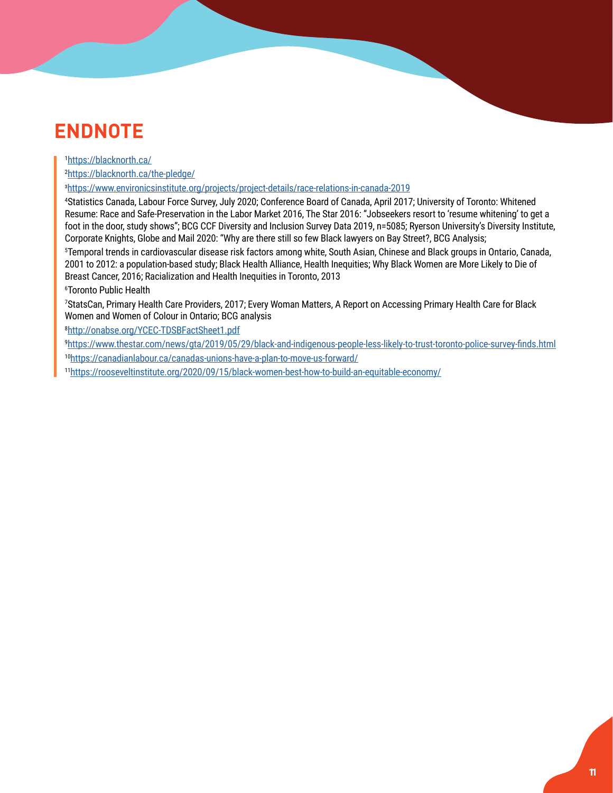# <span id="page-10-0"></span>**ENDNOTE**

#### [https://blacknorth.ca/](https://blacknorth.ca/
)

<https://blacknorth.ca/the-pledge/>

<https://www.environicsinstitute.org/projects/project-details/race-relations-in-canada-2019>

 Statistics Canada, Labour Force Survey, July 2020; Conference Board of Canada, April 2017; University of Toronto: Whitened Resume: Race and Safe-Preservation in the Labor Market 2016, The Star 2016: "Jobseekers resort to 'resume whitening' to get a foot in the door, study shows"; BCG CCF Diversity and Inclusion Survey Data 2019, n=5085; Ryerson University's Diversity Institute, Corporate Knights, Globe and Mail 2020: "Why are there still so few Black lawyers on Bay Street?, BCG Analysis;

 Temporal trends in cardiovascular disease risk factors among white, South Asian, Chinese and Black groups in Ontario, Canada, 2001 to 2012: a population-based study; Black Health Alliance, Health Inequities; Why Black Women are More Likely to Die of Breast Cancer, 2016; Racialization and Health Inequities in Toronto, 2013

#### Toronto Public Health

 StatsCan, Primary Health Care Providers, 2017; Every Woman Matters, A Report on Accessing Primary Health Care for Black Women and Women of Colour in Ontario; BCG analysis

[http://onabse.org/YCEC-TDSBFactSheet1.pdf](http://onabse.org/YCEC-TDSBFactSheet1.pdf
)

 [https://www.thestar.com/news/gta/2019/05/29/black-and-indigenous-people-less-likely-to-trust-toronto-police-survey-finds.html](https://www.thestar.com/news/gta/2019/05/29/black-and-indigenous-people-less-likely-to-trust-toronto-police-survey-finds.html
) [0https://canadianlabour.ca/canadas-unions-have-a-plan-to-move-us-forward/](https://canadianlabour.ca/canadas-unions-have-a-plan-to-move-us-forward/
)

[1https://rooseveltinstitute.org/2020/09/15/black-women-best-how-to-build-an-equitable-economy/](https://rooseveltinstitute.org/2020/09/15/black-women-best-how-to-build-an-equitable-economy/)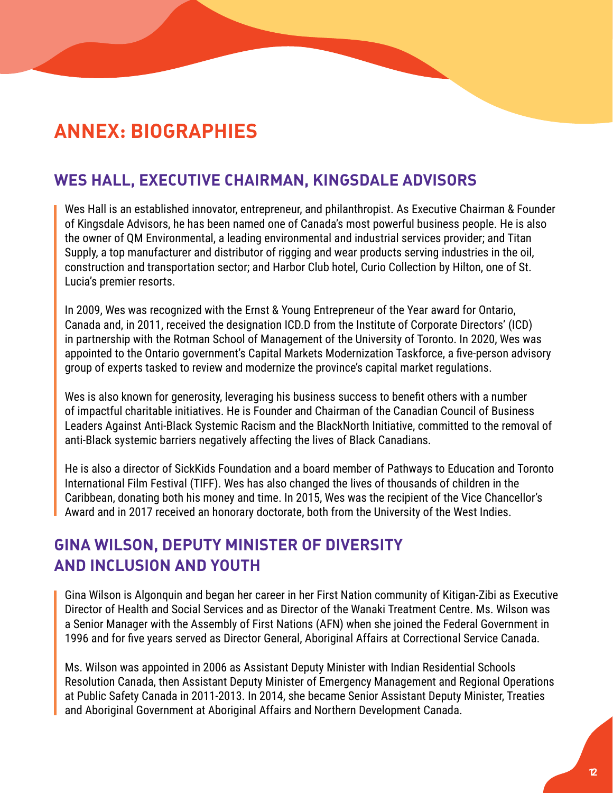# <span id="page-11-0"></span>**ANNEX: BIOGRAPHIES**

#### **WES HALL, EXECUTIVE CHAIRMAN, KINGSDALE ADVISORS**

Wes Hall is an established innovator, entrepreneur, and philanthropist. As Executive Chairman & Founder of Kingsdale Advisors, he has been named one of Canada's most powerful business people. He is also the owner of QM Environmental, a leading environmental and industrial services provider; and Titan Supply, a top manufacturer and distributor of rigging and wear products serving industries in the oil, construction and transportation sector; and Harbor Club hotel, Curio Collection by Hilton, one of St. Lucia's premier resorts.

In 2009, Wes was recognized with the Ernst & Young Entrepreneur of the Year award for Ontario, Canada and, in 2011, received the designation ICD.D from the Institute of Corporate Directors' (ICD) in partnership with the Rotman School of Management of the University of Toronto. In 2020, Wes was appointed to the Ontario government's Capital Markets Modernization Taskforce, a five-person advisory group of experts tasked to review and modernize the province's capital market regulations.

Wes is also known for generosity, leveraging his business success to benefit others with a number of impactful charitable initiatives. He is Founder and Chairman of the Canadian Council of Business Leaders Against Anti-Black Systemic Racism and the BlackNorth Initiative, committed to the removal of anti-Black systemic barriers negatively affecting the lives of Black Canadians.

He is also a director of SickKids Foundation and a board member of Pathways to Education and Toronto International Film Festival (TIFF). Wes has also changed the lives of thousands of children in the Caribbean, donating both his money and time. In 2015, Wes was the recipient of the Vice Chancellor's Award and in 2017 received an honorary doctorate, both from the University of the West Indies.

#### **GINA WILSON, DEPUTY MINISTER OF DIVERSITY AND INCLUSION AND YOUTH**

Gina Wilson is Algonquin and began her career in her First Nation community of Kitigan-Zibi as Executive Director of Health and Social Services and as Director of the Wanaki Treatment Centre. Ms. Wilson was a Senior Manager with the Assembly of First Nations (AFN) when she joined the Federal Government in 1996 and for five years served as Director General, Aboriginal Affairs at Correctional Service Canada.

Ms. Wilson was appointed in 2006 as Assistant Deputy Minister with Indian Residential Schools Resolution Canada, then Assistant Deputy Minister of Emergency Management and Regional Operations at Public Safety Canada in 2011-2013. In 2014, she became Senior Assistant Deputy Minister, Treaties and Aboriginal Government at Aboriginal Affairs and Northern Development Canada.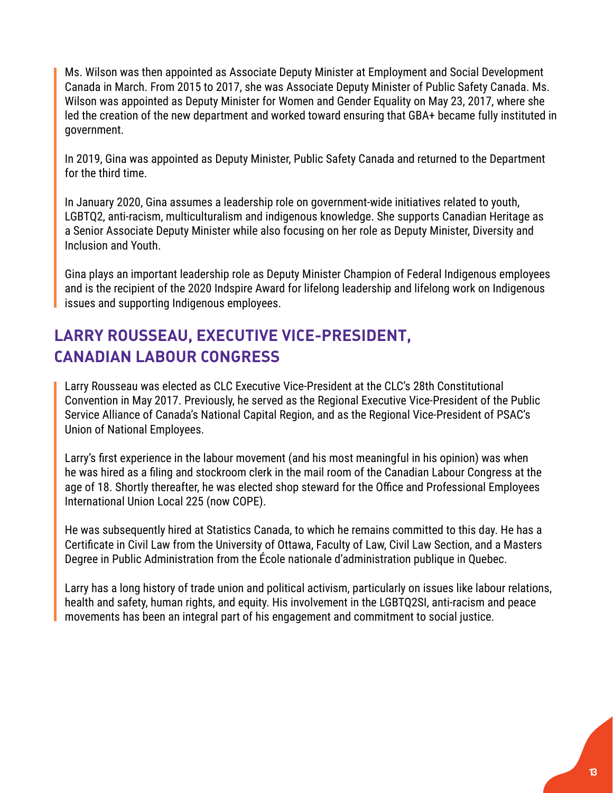Ms. Wilson was then appointed as Associate Deputy Minister at Employment and Social Development Canada in March. From 2015 to 2017, she was Associate Deputy Minister of Public Safety Canada. Ms. Wilson was appointed as Deputy Minister for Women and Gender Equality on May 23, 2017, where she led the creation of the new department and worked toward ensuring that GBA+ became fully instituted in government.

In 2019, Gina was appointed as Deputy Minister, Public Safety Canada and returned to the Department for the third time.

In January 2020, Gina assumes a leadership role on government-wide initiatives related to youth, LGBTQ2, anti-racism, multiculturalism and indigenous knowledge. She supports Canadian Heritage as a Senior Associate Deputy Minister while also focusing on her role as Deputy Minister, Diversity and Inclusion and Youth.

Gina plays an important leadership role as Deputy Minister Champion of Federal Indigenous employees and is the recipient of the 2020 Indspire Award for lifelong leadership and lifelong work on Indigenous issues and supporting Indigenous employees.

## **LARRY ROUSSEAU, EXECUTIVE VICE-PRESIDENT, CANADIAN LABOUR CONGRESS**

Larry Rousseau was elected as CLC Executive Vice-President at the CLC's 28th Constitutional Convention in May 2017. Previously, he served as the Regional Executive Vice-President of the Public Service Alliance of Canada's National Capital Region, and as the Regional Vice-President of PSAC's Union of National Employees.

Larry's first experience in the labour movement (and his most meaningful in his opinion) was when he was hired as a filing and stockroom clerk in the mail room of the Canadian Labour Congress at the age of 18. Shortly thereafter, he was elected shop steward for the Office and Professional Employees International Union Local 225 (now COPE).

He was subsequently hired at Statistics Canada, to which he remains committed to this day. He has a Certificate in Civil Law from the University of Ottawa, Faculty of Law, Civil Law Section, and a Masters Degree in Public Administration from the École nationale d'administration publique in Quebec.

Larry has a long history of trade union and political activism, particularly on issues like labour relations, health and safety, human rights, and equity. His involvement in the LGBTQ2SI, anti-racism and peace movements has been an integral part of his engagement and commitment to social justice.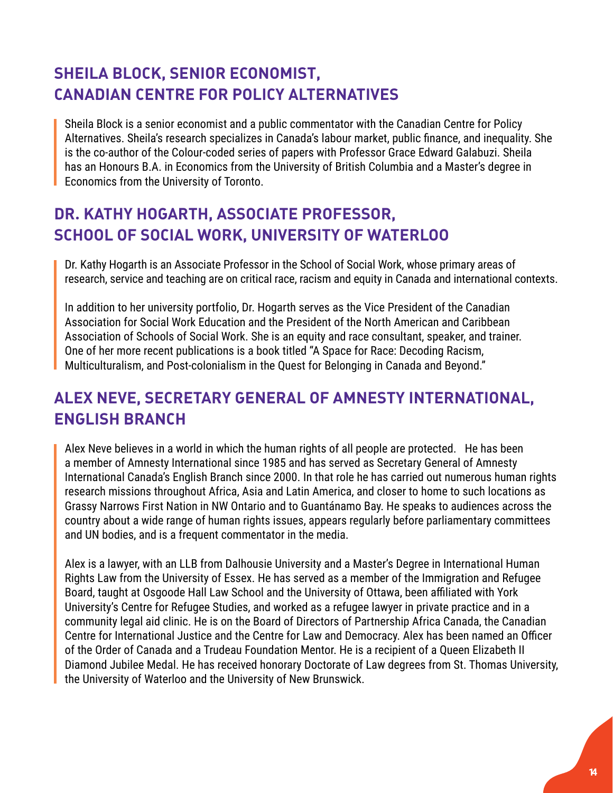#### **SHEILA BLOCK, SENIOR ECONOMIST, CANADIAN CENTRE FOR POLICY ALTERNATIVES**

Sheila Block is a senior economist and a public commentator with the Canadian Centre for Policy Alternatives. Sheila's research specializes in Canada's labour market, public finance, and inequality. She is the co-author of the Colour-coded series of papers with Professor Grace Edward Galabuzi. Sheila has an Honours B.A. in Economics from the University of British Columbia and a Master's degree in Economics from the University of Toronto.

## **DR. KATHY HOGARTH, ASSOCIATE PROFESSOR, SCHOOL OF SOCIAL WORK, UNIVERSITY OF WATERLOO**

Dr. Kathy Hogarth is an Associate Professor in the School of Social Work, whose primary areas of research, service and teaching are on critical race, racism and equity in Canada and international contexts.

In addition to her university portfolio, Dr. Hogarth serves as the Vice President of the Canadian Association for Social Work Education and the President of the North American and Caribbean Association of Schools of Social Work. She is an equity and race consultant, speaker, and trainer. One of her more recent publications is a book titled "A Space for Race: Decoding Racism, Multiculturalism, and Post-colonialism in the Quest for Belonging in Canada and Beyond."

#### **ALEX NEVE, SECRETARY GENERAL OF AMNESTY INTERNATIONAL, ENGLISH BRANCH**

Alex Neve believes in a world in which the human rights of all people are protected. He has been a member of Amnesty International since 1985 and has served as Secretary General of Amnesty International Canada's English Branch since 2000. In that role he has carried out numerous human rights research missions throughout Africa, Asia and Latin America, and closer to home to such locations as Grassy Narrows First Nation in NW Ontario and to Guantánamo Bay. He speaks to audiences across the country about a wide range of human rights issues, appears regularly before parliamentary committees and UN bodies, and is a frequent commentator in the media.

Alex is a lawyer, with an LLB from Dalhousie University and a Master's Degree in International Human Rights Law from the University of Essex. He has served as a member of the Immigration and Refugee Board, taught at Osgoode Hall Law School and the University of Ottawa, been affiliated with York University's Centre for Refugee Studies, and worked as a refugee lawyer in private practice and in a community legal aid clinic. He is on the Board of Directors of Partnership Africa Canada, the Canadian Centre for International Justice and the Centre for Law and Democracy. Alex has been named an Officer of the Order of Canada and a Trudeau Foundation Mentor. He is a recipient of a Queen Elizabeth II Diamond Jubilee Medal. He has received honorary Doctorate of Law degrees from St. Thomas University, the University of Waterloo and the University of New Brunswick.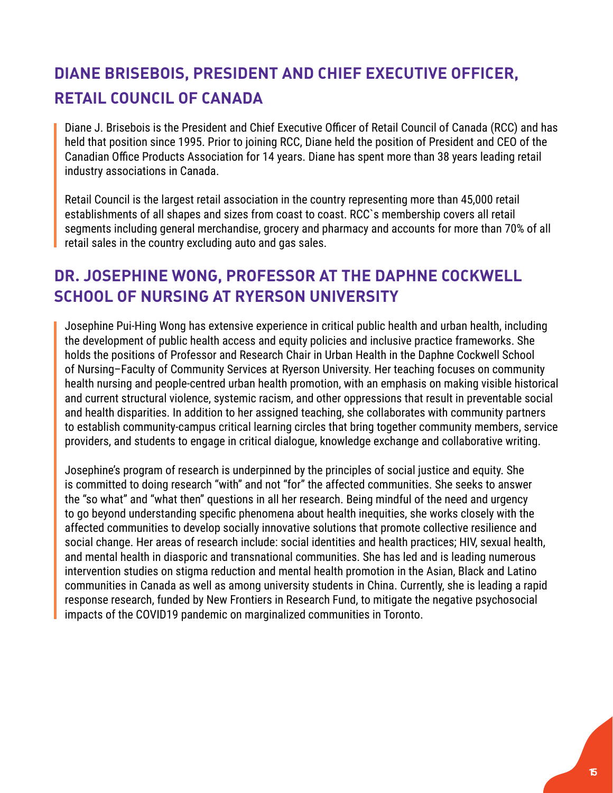## **DIANE BRISEBOIS, PRESIDENT AND CHIEF EXECUTIVE OFFICER, RETAIL COUNCIL OF CANADA**

Diane J. Brisebois is the President and Chief Executive Officer of Retail Council of Canada (RCC) and has held that position since 1995. Prior to joining RCC, Diane held the position of President and CEO of the Canadian Office Products Association for 14 years. Diane has spent more than 38 years leading retail industry associations in Canada.

Retail Council is the largest retail association in the country representing more than 45,000 retail establishments of all shapes and sizes from coast to coast. RCC`s membership covers all retail segments including general merchandise, grocery and pharmacy and accounts for more than 70% of all retail sales in the country excluding auto and gas sales.

## **DR. JOSEPHINE WONG, PROFESSOR AT THE DAPHNE COCKWELL SCHOOL OF NURSING AT RYERSON UNIVERSITY**

Josephine Pui-Hing Wong has extensive experience in critical public health and urban health, including the development of public health access and equity policies and inclusive practice frameworks. She holds the positions of Professor and Research Chair in Urban Health in the Daphne Cockwell School of Nursing–Faculty of Community Services at Ryerson University. Her teaching focuses on community health nursing and people-centred urban health promotion, with an emphasis on making visible historical and current structural violence, systemic racism, and other oppressions that result in preventable social and health disparities. In addition to her assigned teaching, she collaborates with community partners to establish community-campus critical learning circles that bring together community members, service providers, and students to engage in critical dialogue, knowledge exchange and collaborative writing.

Josephine's program of research is underpinned by the principles of social justice and equity. She is committed to doing research "with" and not "for" the affected communities. She seeks to answer the "so what" and "what then" questions in all her research. Being mindful of the need and urgency to go beyond understanding specific phenomena about health inequities, she works closely with the affected communities to develop socially innovative solutions that promote collective resilience and social change. Her areas of research include: social identities and health practices; HIV, sexual health, and mental health in diasporic and transnational communities. She has led and is leading numerous intervention studies on stigma reduction and mental health promotion in the Asian, Black and Latino communities in Canada as well as among university students in China. Currently, she is leading a rapid response research, funded by New Frontiers in Research Fund, to mitigate the negative psychosocial impacts of the COVID19 pandemic on marginalized communities in Toronto.